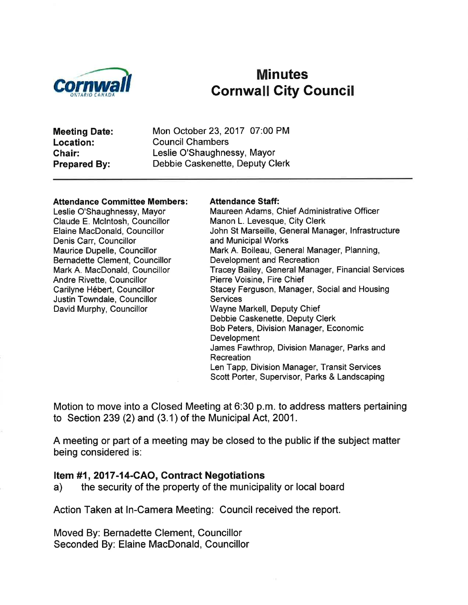

# Minutes<br>Cornwall City Council

Meeting Date: Location: Ghair: Prepared By:

Mon October 23, 2017 07:00 PM Council Chambers Leslie O'Shaughnessy, Mayor Debbie Caskenette, Deputy Clerk

#### Attendance Committee Members:

Leslie O'Shaughnessy, Mayor Claude E. Mclntosh, Councillor Elaine MacDonald, Councillor Denis Carr, Councillor Maurice Dupelle, Councillor Bernadette Clement, Councillor Mark A. MacDonald, Councillor Andre Rivette, Councillor Carilyne Hébert, Councillor Justin Towndale, Councillor David Murphy, Councillor

#### Attendance Staff:

Maureen Adams, Chief Administrative Officer Manon L. Levesque, City Clerk John St Marseille, General Manager, lnfrastructure and Municipal Works Mark A. Boileau, General Manager, Planning, Development and Recreation Tracey Bailey, General Manager, Financial Services Pierre Voisine, Fire Chief Stacey Ferguson, Manager, Social and Housing **Services** Wayne Markell, Deputy Chief Debbie Caskenette, Deputy Clerk Bob Peters, Division Manager, Economic **Development** James Fawthrop, Division Manager, Parks and Recreation Len Tapp, Division Manager, Transit Services Scott Porter, Supervisor, Parks & Landscaping

Motion to move into a Closed Meeting at 6:30 p.m. to address matters pertaining to Section 239 (2) and (3.1) of the Municipal Act, 2001.

A meeting or part of a meeting may be closed to the public if the subject matter being considered is:

Item #1, 2017-14-CAO, Contract Negotiations<br>a) the security of the property of the municipality or local board

Action Taken at ln-Camera Meeting: Council received the report.

Moved By: Bernadette Clement, Councillor Seconded By: Elaine MacDonald, Councillor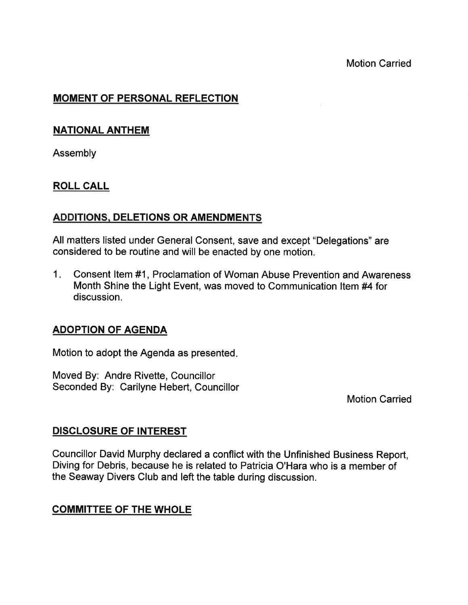# MOMENT OF PERSONAL REFLECTION

#### NATIONAL ANTHEM

Assembly

### ROLL CALL

### ADDITIONS, DELETIONS OR AMENDMENTS

All matters listed under General Consent, save and except "Delegations" are considered to be routine and will be enacted by one motion.

 $1.$ Consent ltem #1, Proclamation of Woman Abuse Prevention and Awareness Month Shine the Light Event, was moved to Communication ltem #4 for discussion.

### ADOPTION OF AGENDA

Motion to adopt the Agenda as presented

Moved By: Andre Rivette, Councillor Seconded By: Carilyne Hebert, Councillor

Motion Carried

#### DISGLOSURE OF INTEREST

Councillor David Murphy declared a conflict with the Unfinished Business Report, Diving for Debris, because he is related to Patricia O'Hara who is a member of the Seaway Divers Club and left the table during discussion.

### COMMITTEE OF THE WHOLE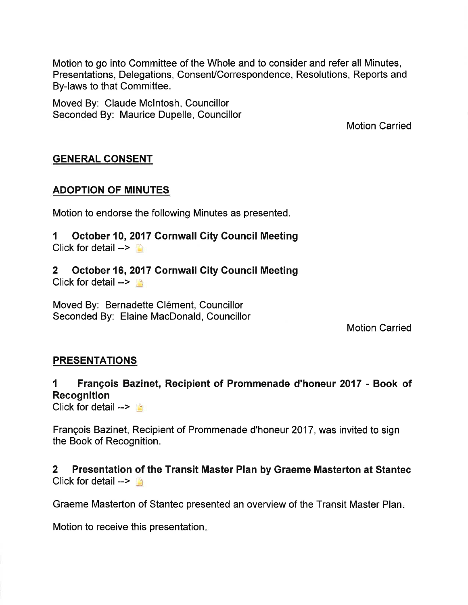Motion to go into Committee of the Whole and to consider and refer all Minutes, Presentations, Delegations, Consent/Correspondence, Resolutions, Reports and By-laws to that Committee.

Moved By: Claude Mclntosh, Councillor Seconded By: Maurice Dupelle, Councillor

Motion Carried

# GENERAL CONSENT

#### ADOPTION OF MINUTES

Motion to endorse the following Minutes as presented.

#### 1 October 10,2017 Cornwall City Gouncil Meeting Click for detail  $\rightarrow$

# 2 October 16,2017 Cornwall Gity Council Meeting

Click for detail  $\rightarrow$ 

Moved By: Bernadette Clément, Councillor Seconded By: Elaine MacDonald, Councillor

Motion Carried

### **PRESENTATIONS**

# 1 François Bazinet, Recipient of Prommenade d'honeur 2017 - Book of Recognition

Click for detail  $\rightarrow$   $\rightarrow$ 

François Bazinet, Recipient of Prommenade d'honeur 2017, was invited to sign the Book of Recognition.

2 Presentation of the Transit Master Plan by Graeme Masterton at Stantec Click for detail  $\rightarrow \rightarrow$ 

Graeme Masterton of Stantec presented an overview of the Transit Master Plan

Motion to receive this presentation.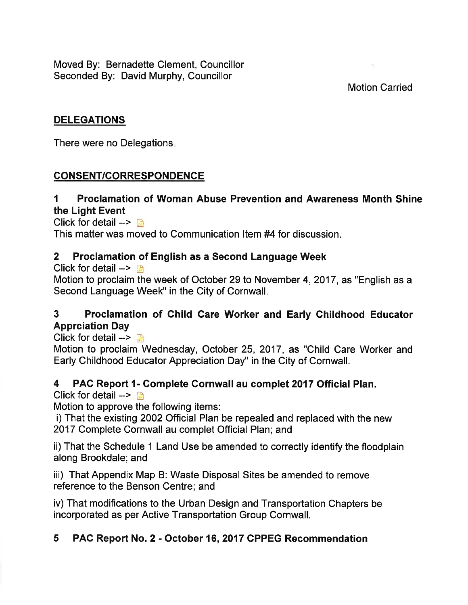Moved By: Bernadette Clement, Councillor Seconded By: David Murphy, Councillor

### Motion Carried

### DELEGATIONS

There were no Delegations

# CONSENT/CORRESPONDENCE

# I Proclamation of Woman Abuse Prevention and Awareness Month Shine the Light Event

Click for detail  $\rightarrow$  n This matter was moved to Communication ltem #4 for discussion.

### 2 Proclamation of English as a Second Language Week

Click for detail  $\rightarrow$ 

Motion to proclaim the week of October 29 to November 4,2017, as "English as a Second Language Week" in the City of Cornwall.

# 3 Proclamation of Child Care Worker and Early Childhood Educator Apprciation Day

Click for detail  $\rightarrow$ 

Motion to proclaim Wednesday, October 25, 2017, as "Child Care Worker and Early Childhood Educator Appreciation Day" in the City of Cornwall.

### 4 PAC Report l- Gomplete Cornwall au complet 2017 Official Plan.

Click for detail  $\rightarrow$ 

Motion to approve the following items:

i) That the existing 2002 Official Plan be repealed and replaced with the new 2017 Complete Cornwall au complet Official Plan; and

ii) That the Schedule 1 Land Use be amended to correctly identify the floodplain along Brookdale; and

iii) That Appendix Map B: Waste Disposal Sites be amended to remove reference to the Benson Centre; and

iv) That modifications to the Urban Design and Transportation Chapters be incorporated as per Active Transportation Group Cornwall.

# 5 PAC Report No. 2 - October 16,2017 CPPEG Recommendation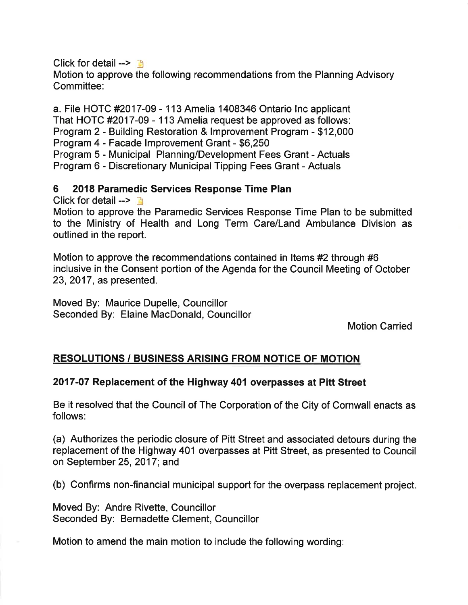Click for detail  $\rightarrow$ 

Motion to approve the following recommendations from the Planning Advisory Committee.

a. File HOTC #2017-09 - 113 Amelia 1408346 Ontario lnc applicant That HOTC #2017-09 - 113 Amelia request be approved as follows: Program 2 - Building Restoration & lmprovement Program - \$12,000 Program 4 - Facade lmprovement Grant - \$6,250 Program 5 - Municipal Planning/Development Fees Grant - Actuals Program 6 - Discretionary Municipal Tipping Fees Grant - Actuals

# 6 2018 Paramedic Services Response Time Plan

Click for detail  $\rightarrow$  n

Motion to approve the Paramedic Services Response Time Plan to be submitted to the Ministry of Health and Long Term Care/Land Ambulance Division as outlined in the report.

Motion to approve the recommendations contained in ltems #2 through #6 inclusive in the Consent portion of the Agenda for the Council Meeting of October 23,2017, as presented.

Moved By: Maurice Dupelle, Councillor Seconded By: Elaine MacDonald, Councillor

Motion Carried

# RESOLUTIONS / BUSINESS ARISING FROM NOTICE OF MOTION

### 2017-07 Replacement of the Highway 401 overpasses at Pitt Street

Be it resolved that the Council of The Corporation of the City of Cornwall enacts as follows:

(a) Authorizes the periodic closure of Pitt Street and associated detours during the replacement of the Highway 401 overpasses at Pitt Street, as presented to Council on September 25,2017; and

(b) Confirms non-financial municipal support for the overpass replacement project.

Moved By: Andre Rivette, Councillor Seconded By: Bernadette Clement, Councillor

Motion to amend the main motion to include the following wording: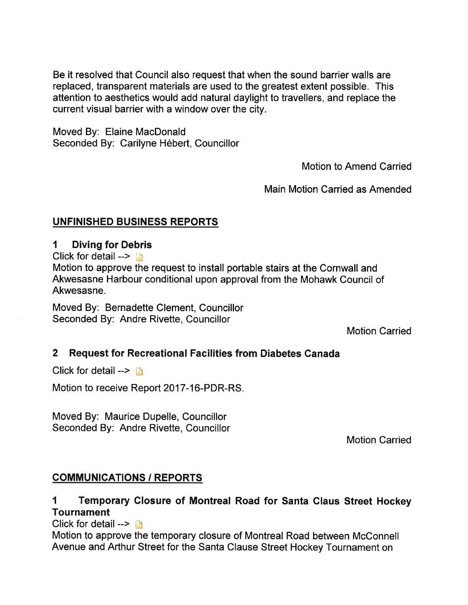Be it resolved that Council also request that when the sound barrier walls are replaced, transparent materials are used to the greatest extent possible. This attention to aesthetics would add natural daylight to travellers, and replace the current visual barrier with a window over the city.

Moved By: Elaine MacDonald Seconded By: Carilyne Hébert, Councillor

Motion to Amend Carried

Main Motion Carried as Amended

### UNFINISHED BUSINESS REPORTS

#### I Diving for Debris

Click for detail  $\rightarrow$ 

Motion to approve the request to install portable stairs at the Cornwall and Akwesasne Harbour conditional upon approval from the Mohawk Council of Akwesasne.

Moved By: Bernadette Clement, Councillor Seconded By: Andre Rivette, Councillor

Motion Carried

### 2 Request for Recreational Facilities from Diabetes Canada

Click for detail  $\rightarrow$ 

Motion to receive Report 2017-16-PDR-RS.

Moved By: Maurice Dupelle, Councillor Seconded By: Andre Rivette, Councillor

Motion Carried

### **COMMUNICATIONS / REPORTS**

# 1 Temporary Closure of Montreal Road for Santa Glaus Street Hockey **Tournament**

Click for detail  $\rightarrow$   $\blacksquare$ 

Motion to approve the temporary closure of Montreal Road between McConnell Avenue and Arthur Street for the Santa Clause Street Hockey Tournament on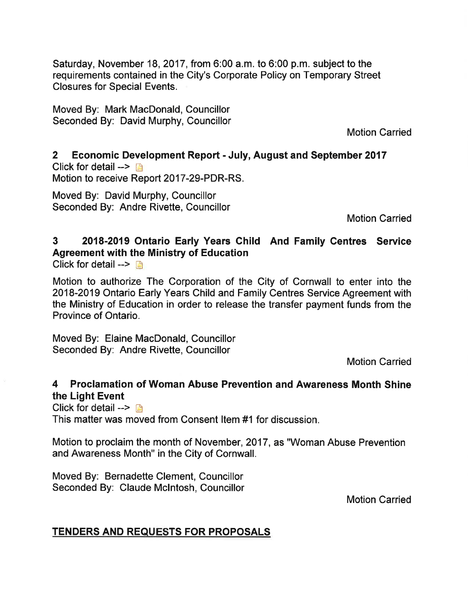Saturday, November 18, 2017, from 6:00 a.m. to 6:00 p.m. subject to the requirements contained in the City's Corporate Policy on Temporary Street Closures for Special Events.

Moved By: Mark MacDonald, Councillor Seconded By: David Murphy, Councillor

Motion Carried

2 Economic Development Report - July, August and September <sup>2017</sup> Click for detail  $\rightarrow$  n Motion to receive Report 2017-29-PDR-RS.

Moved By: David Murphy, Councillor Seconded By: Andre Rivette, Councillor

Motion Carried

#### 3 2018-2019 Ontario Early Years Child And Family Centres Service Agreement with the Ministry of Education Click for detail  $\rightarrow \mathbb{R}$

Motion to authorize The Corporation of the City of Cornwall to enter into the 2018-2019 Ontario Early Years Child and Family Centres Service Agreement with the Ministry of Education in order to release the transfer payment funds from the Province of Ontario.

Moved By: Elaine MacDonald, Councillor Seconded By: Andre Rivette, Councillor

Motion Carried

# 4 Proclamation of Woman Abuse Prevention and Awareness Month Shine the Light Event

Click for detail  $\rightarrow$ 

This matter was moved from Consent ltem #1 for discussion.

Motion to proclaim the month of November,2017, as "Woman Abuse Prevention and Awareness Month" in the City of Cornwall.

Moved By: Bernadette Clement, Councillor Seconded By: Claude Mclntosh, Councillor

Motion Carried

### TENDERS AND REQUESTS FOR PROPOSALS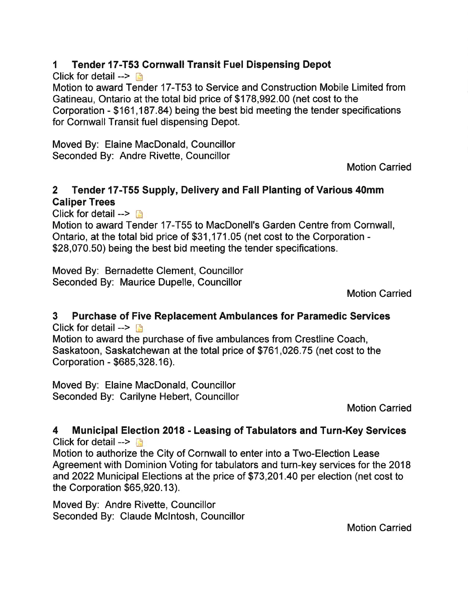# 1 Tender 17-T53 Cornwall Transit Fuel Dispensing Depot

Click for detail  $\rightarrow \mathbb{R}$ 

Motion to award Tender 17-T53 to Service and Construction Mobile Limited from Gatineau, Ontario at the total bid price of \$178,992.00 (net cost to the Corporation - \$161,187.84) being the best bid meeting the tender specifications for Cornwall Transit fuel dispensing Depot.

Moved By: Elaine MacDonald, Councillor Seconded By: Andre Rivette, Councillor

Motion Carried

# 2 Tender l7-T55 Supply, Delivery and Fall Planting of Various 40mm Galiper Trees

Click for detail  $\rightarrow \mathbb{R}$ 

Motion to award Tender 17-T55 to MacDonell's Garden Centre from Cornwall, Ontario, at the total bid price of \$31 ,171.05 (net cost to the Corporation - \$28,070.50) being the best bid meeting the tender specifications.

Moved By: Bernadette Clement, Councillor Seconded By: Maurice Dupelle, Councillor

Motion Carried

#### 3 Purchase of Five Replacement Ambulances for Paramedic Services Click for detail  $\rightarrow$  D

Motion to award the purchase of five ambulances from Crestline Coach, Saskatoon, Saskatchewan at the total price of \$761 ,026.75 (net cost to the Corporation - \$685,328.16).

Moved By: Elaine MacDonald, Councillor Seconded By: Carilyne Hebert, Councillor

Motion Carried

#### 4 Municipal Election 2018 - Leasing of Tabulators and Turn-Key Services Click for detail  $\rightarrow$  n

Motion to authorize the City of Cornwall to enter into a Two-Election Lease Agreement with Dominion Voting for tabulators and turn-key services for the 2018 and 2022 Municipal Elections at the price of \$73,201.40 per election (net cost to the Corporation  $$65,920.13$ ).

Moved By: Andre Rivette, Councillor Seconded By: Claude Mclntosh, Councillor

Motion Carried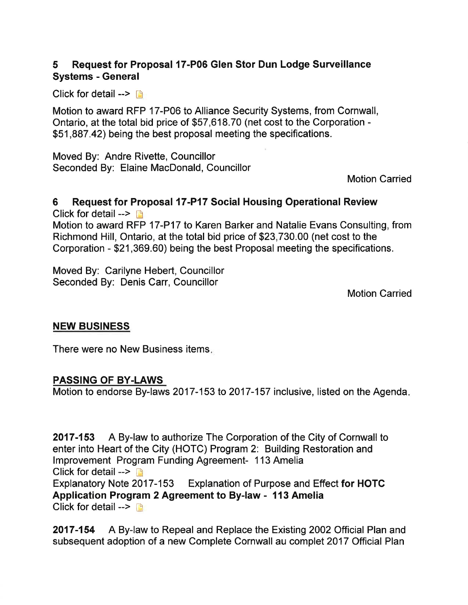# 5 Request for Proposal l7-P06 Glen Stor Dun Lodge Surueillance Systems - General

Click for detail  $\rightarrow$  n

Motion to award RFP 17-P06 to Alliance Security Systems, from Cornwall, Ontario, at the total bid price of \$57,618.70 (net cost to the Corporation - \$51,887.42) being the best proposal meeting the specifications.

Moved By: Andre Rivette, Councillor Seconded By: Elaine MacDonald, Councillor

Motion Carried

#### 6 Request for Proposal 17-P17 Social Housing Operational Review

Click for detail  $\rightarrow$ Motion to award RFP 17-P17 to Karen Barker and Natalie Evans Consulting, from Richmond Hill, Ontario, at the total bid price of \$23,730.00 (net cost to the Corporation - \$21,369.60) being the best Proposal meeting the specifications.

Moved By: Carilyne Hebert, Councillor Seconded By: Denis Carr, Councillor

Motion Carried

#### NEW BUSINESS

There were no New Business items

#### PASSING OF BY.LAWS

Motion to endorse By-laws 2017-153 to 2017-157 inclusive, listed on the Agenda

2017-153 A By-law to authorize The Corporation of the City of Cornwall to enter into Heart of the City (HOTC) Program 2: Building Restoration and lmprovement Program Funding Agreement- 113 Amelia Click for detail  $\rightarrow$   $\rightarrow$ Explanatory Note 2017-153 Explanation of Purpose and Effect for HOTC Application Program2 Agreement to By-law - 113 Amelia Click for detail  $\rightarrow$ 

2017-154 A By-law to Repeal and Replace the Existing2002 Official Plan and subsequent adoption of a new Complete Cornwall au complet 2017 Official Plan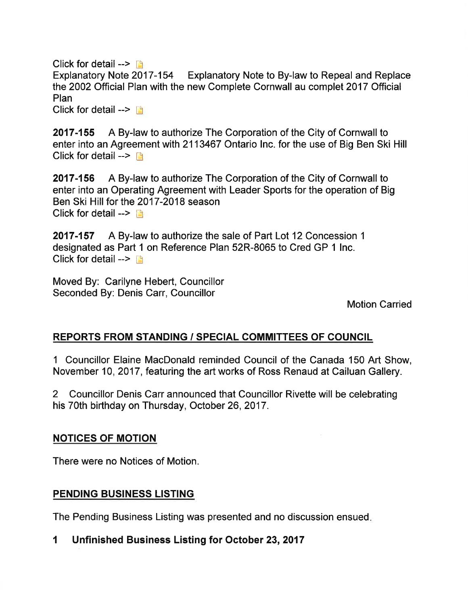Click for detail  $\rightarrow$  n Explanatory Note 2017-154 Explanatory Note to By-law to Repeal and Replace the 2002 Official Plan with the new Complete Cornwall au complet 2017 Official Plan Click for detail -->  $\Box$ 

2017-155 A By-law to authorize The Corporation of the City of Cornwall to enter into an Agreement with 2113467 Ontario lnc. for the use of Big Ben Ski Hill Click for detail  $\rightarrow \Box$ 

2017-156 A By-law to authorize The Corporation of the City of Cornwall to enter into an Operating Agreement with Leader Sports for the operation of Big Ben Ski Hill for the 2017-2018 season Click for detail  $\rightarrow$ 

2017-157 A By-law to authorize the sale of Part Lot 12 Concession <sup>1</sup> designated as Part 1 on Reference Plan 52R-8065 to Cred GP 1 lnc. Click for detail  $\rightarrow$ 

Moved By: Carilyne Hebert, Councillor Seconded By: Denis Carr, Councillor

Motion Carried

### REPORTS FROM STANDING / SPECIAL COMMITTEES OF COUNCIL

I Councillor Elaine MacDonald reminded Council of the Canada 150 Art Show, November 10,2017, featuring the art works of Ross Renaud at Cailuan Gallery.

2 Councillor Denis Carr announced that Councillor Rivette will be celebrating his 70th birthday on Thursday, October 26,2017.

#### NOTICES OF MOTION

There were no Notices of Motion.

#### PENDING BUSINESS LISTING

The Pending Business Listing was presented and no discussion ensued

1 Unfinished Business Listing for October 23,2017